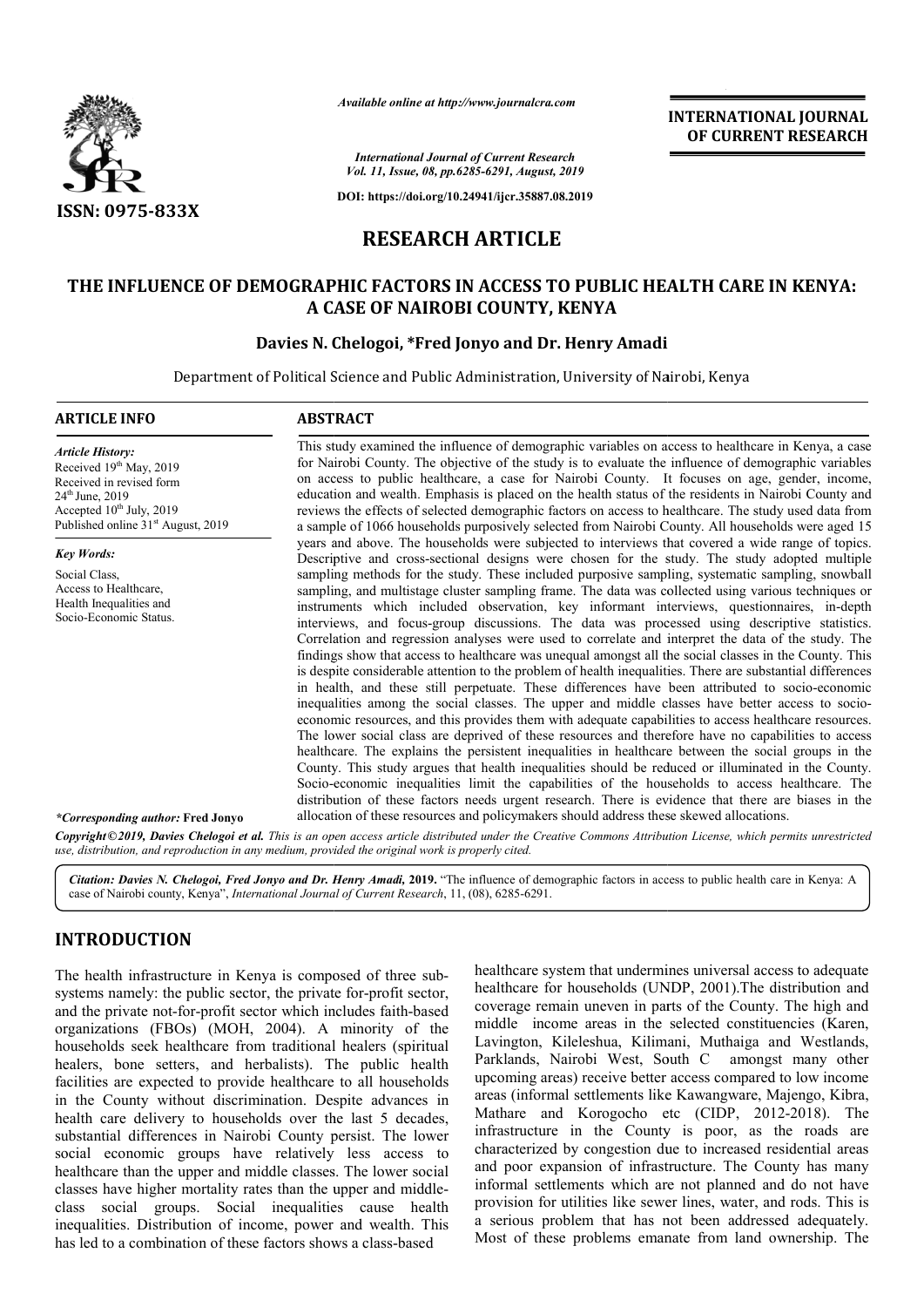

*Available online at http://www.journalcra.com*

## **RESEARCH ARTICLE**

# **THE INFLUENCE OF DEMOGRAPHIC FACTORS IN ACCESS TO PUBLIC HEALTH CARE IN KENYA: A CASE OF NAIROBI COUNTY, KENYA** MOGRAPHIC FACTORS IN ACCESS TO PUBLIC HE:<br>A CASE OF NAIROBI COUNTY, KENYA<br>Davies N. Chelogoi, \*Fred Jonyo and Dr. Henry Amadi

|                                                                                                                                                                                                                                                                                                                                                                                                                                                                                                                                                                                                                                                                                                                                                                                                                                                                                                                                                                                                                                                   |                                                                                                                                                                                                                                                                                                                                                                                                                                                                                                                                                                                                                                                                                                                                                                                                                                                                                                                                                                                                                                                                                                                                                                                                                                                                                                                                                                                                                                                                                                                                                                                                                                                                               | unuvic vinine ui nup.//www.jvurnuicru.com                                                          | <b>INTERNATIONAL JOURNAL</b><br>OF CURRENT RESEARCH                                                                                                                                                                                                                                                                                                                                                                                                                                                                                                                                                                                                                                                                                                                                                                                                                                                                                                                                                                     |
|---------------------------------------------------------------------------------------------------------------------------------------------------------------------------------------------------------------------------------------------------------------------------------------------------------------------------------------------------------------------------------------------------------------------------------------------------------------------------------------------------------------------------------------------------------------------------------------------------------------------------------------------------------------------------------------------------------------------------------------------------------------------------------------------------------------------------------------------------------------------------------------------------------------------------------------------------------------------------------------------------------------------------------------------------|-------------------------------------------------------------------------------------------------------------------------------------------------------------------------------------------------------------------------------------------------------------------------------------------------------------------------------------------------------------------------------------------------------------------------------------------------------------------------------------------------------------------------------------------------------------------------------------------------------------------------------------------------------------------------------------------------------------------------------------------------------------------------------------------------------------------------------------------------------------------------------------------------------------------------------------------------------------------------------------------------------------------------------------------------------------------------------------------------------------------------------------------------------------------------------------------------------------------------------------------------------------------------------------------------------------------------------------------------------------------------------------------------------------------------------------------------------------------------------------------------------------------------------------------------------------------------------------------------------------------------------------------------------------------------------|----------------------------------------------------------------------------------------------------|-------------------------------------------------------------------------------------------------------------------------------------------------------------------------------------------------------------------------------------------------------------------------------------------------------------------------------------------------------------------------------------------------------------------------------------------------------------------------------------------------------------------------------------------------------------------------------------------------------------------------------------------------------------------------------------------------------------------------------------------------------------------------------------------------------------------------------------------------------------------------------------------------------------------------------------------------------------------------------------------------------------------------|
|                                                                                                                                                                                                                                                                                                                                                                                                                                                                                                                                                                                                                                                                                                                                                                                                                                                                                                                                                                                                                                                   |                                                                                                                                                                                                                                                                                                                                                                                                                                                                                                                                                                                                                                                                                                                                                                                                                                                                                                                                                                                                                                                                                                                                                                                                                                                                                                                                                                                                                                                                                                                                                                                                                                                                               | <b>International Journal of Current Research</b><br>Vol. 11, Issue, 08, pp.6285-6291, August, 2019 |                                                                                                                                                                                                                                                                                                                                                                                                                                                                                                                                                                                                                                                                                                                                                                                                                                                                                                                                                                                                                         |
| ISSN: 0975-833X                                                                                                                                                                                                                                                                                                                                                                                                                                                                                                                                                                                                                                                                                                                                                                                                                                                                                                                                                                                                                                   |                                                                                                                                                                                                                                                                                                                                                                                                                                                                                                                                                                                                                                                                                                                                                                                                                                                                                                                                                                                                                                                                                                                                                                                                                                                                                                                                                                                                                                                                                                                                                                                                                                                                               | DOI: https://doi.org/10.24941/ijcr.35887.08.2019                                                   |                                                                                                                                                                                                                                                                                                                                                                                                                                                                                                                                                                                                                                                                                                                                                                                                                                                                                                                                                                                                                         |
|                                                                                                                                                                                                                                                                                                                                                                                                                                                                                                                                                                                                                                                                                                                                                                                                                                                                                                                                                                                                                                                   |                                                                                                                                                                                                                                                                                                                                                                                                                                                                                                                                                                                                                                                                                                                                                                                                                                                                                                                                                                                                                                                                                                                                                                                                                                                                                                                                                                                                                                                                                                                                                                                                                                                                               | <b>RESEARCH ARTICLE</b>                                                                            |                                                                                                                                                                                                                                                                                                                                                                                                                                                                                                                                                                                                                                                                                                                                                                                                                                                                                                                                                                                                                         |
|                                                                                                                                                                                                                                                                                                                                                                                                                                                                                                                                                                                                                                                                                                                                                                                                                                                                                                                                                                                                                                                   |                                                                                                                                                                                                                                                                                                                                                                                                                                                                                                                                                                                                                                                                                                                                                                                                                                                                                                                                                                                                                                                                                                                                                                                                                                                                                                                                                                                                                                                                                                                                                                                                                                                                               |                                                                                                    |                                                                                                                                                                                                                                                                                                                                                                                                                                                                                                                                                                                                                                                                                                                                                                                                                                                                                                                                                                                                                         |
|                                                                                                                                                                                                                                                                                                                                                                                                                                                                                                                                                                                                                                                                                                                                                                                                                                                                                                                                                                                                                                                   |                                                                                                                                                                                                                                                                                                                                                                                                                                                                                                                                                                                                                                                                                                                                                                                                                                                                                                                                                                                                                                                                                                                                                                                                                                                                                                                                                                                                                                                                                                                                                                                                                                                                               | A CASE OF NAIROBI COUNTY, KENYA                                                                    | THE INFLUENCE OF DEMOGRAPHIC FACTORS IN ACCESS TO PUBLIC HEALTH CARE IN KENYA:                                                                                                                                                                                                                                                                                                                                                                                                                                                                                                                                                                                                                                                                                                                                                                                                                                                                                                                                          |
|                                                                                                                                                                                                                                                                                                                                                                                                                                                                                                                                                                                                                                                                                                                                                                                                                                                                                                                                                                                                                                                   | Davies N. Chelogoi, *Fred Jonyo and Dr. Henry Amadi                                                                                                                                                                                                                                                                                                                                                                                                                                                                                                                                                                                                                                                                                                                                                                                                                                                                                                                                                                                                                                                                                                                                                                                                                                                                                                                                                                                                                                                                                                                                                                                                                           |                                                                                                    |                                                                                                                                                                                                                                                                                                                                                                                                                                                                                                                                                                                                                                                                                                                                                                                                                                                                                                                                                                                                                         |
|                                                                                                                                                                                                                                                                                                                                                                                                                                                                                                                                                                                                                                                                                                                                                                                                                                                                                                                                                                                                                                                   | Department of Political Science and Public Administration, University of Nairobi, Kenya                                                                                                                                                                                                                                                                                                                                                                                                                                                                                                                                                                                                                                                                                                                                                                                                                                                                                                                                                                                                                                                                                                                                                                                                                                                                                                                                                                                                                                                                                                                                                                                       |                                                                                                    |                                                                                                                                                                                                                                                                                                                                                                                                                                                                                                                                                                                                                                                                                                                                                                                                                                                                                                                                                                                                                         |
| <b>ARTICLE INFO</b>                                                                                                                                                                                                                                                                                                                                                                                                                                                                                                                                                                                                                                                                                                                                                                                                                                                                                                                                                                                                                               | <b>ABSTRACT</b>                                                                                                                                                                                                                                                                                                                                                                                                                                                                                                                                                                                                                                                                                                                                                                                                                                                                                                                                                                                                                                                                                                                                                                                                                                                                                                                                                                                                                                                                                                                                                                                                                                                               |                                                                                                    |                                                                                                                                                                                                                                                                                                                                                                                                                                                                                                                                                                                                                                                                                                                                                                                                                                                                                                                                                                                                                         |
| <b>Article History:</b><br>Received 19th May, 2019<br>Received in revised form<br>24th June, 2019<br>Accepted 10 <sup>th</sup> July, 2019<br>Published online 31 <sup>st</sup> August, 2019                                                                                                                                                                                                                                                                                                                                                                                                                                                                                                                                                                                                                                                                                                                                                                                                                                                       | This study examined the influence of demographic variables on access to healthcare in Kenya, a case<br>for Nairobi County. The objective of the study is to evaluate the influence of demographic variables<br>on access to public healthcare, a case for Nairobi County. It focuses on age, gender, income,<br>education and wealth. Emphasis is placed on the health status of the residents in Nairobi County and<br>reviews the effects of selected demographic factors on access to healthcare. The study used data from<br>a sample of 1066 households purposively selected from Nairobi County. All households were aged 15                                                                                                                                                                                                                                                                                                                                                                                                                                                                                                                                                                                                                                                                                                                                                                                                                                                                                                                                                                                                                                            |                                                                                                    |                                                                                                                                                                                                                                                                                                                                                                                                                                                                                                                                                                                                                                                                                                                                                                                                                                                                                                                                                                                                                         |
| <b>Key Words:</b>                                                                                                                                                                                                                                                                                                                                                                                                                                                                                                                                                                                                                                                                                                                                                                                                                                                                                                                                                                                                                                 |                                                                                                                                                                                                                                                                                                                                                                                                                                                                                                                                                                                                                                                                                                                                                                                                                                                                                                                                                                                                                                                                                                                                                                                                                                                                                                                                                                                                                                                                                                                                                                                                                                                                               |                                                                                                    | years and above. The households were subjected to interviews that covered a wide range of topics.<br>Descriptive and cross-sectional designs were chosen for the study. The study adopted multiple                                                                                                                                                                                                                                                                                                                                                                                                                                                                                                                                                                                                                                                                                                                                                                                                                      |
| Social Class,<br>Access to Healthcare,<br>Health Inequalities and<br>Socio-Economic Status.                                                                                                                                                                                                                                                                                                                                                                                                                                                                                                                                                                                                                                                                                                                                                                                                                                                                                                                                                       | sampling methods for the study. These included purposive sampling, systematic sampling, snowball<br>sampling, and multistage cluster sampling frame. The data was collected using various techniques or<br>instruments which included observation, key informant interviews, questionnaires, in-depth<br>interviews, and focus-group discussions. The data was processed using descriptive statistics.<br>Correlation and regression analyses were used to correlate and interpret the data of the study. The<br>findings show that access to healthcare was unequal amongst all the social classes in the County. This<br>is despite considerable attention to the problem of health inequalities. There are substantial differences<br>in health, and these still perpetuate. These differences have been attributed to socio-economic<br>inequalities among the social classes. The upper and middle classes have better access to socio-<br>economic resources, and this provides them with adequate capabilities to access healthcare resources.<br>The lower social class are deprived of these resources and therefore have no capabilities to access<br>healthcare. The explains the persistent inequalities in healthcare between the social groups in the<br>County. This study argues that health inequalities should be reduced or illuminated in the County.<br>Socio-economic inequalities limit the capabilities of the households to access healthcare. The<br>distribution of these factors needs urgent research. There is evidence that there are biases in the<br>allocation of these resources and policymakers should address these skewed allocations. |                                                                                                    |                                                                                                                                                                                                                                                                                                                                                                                                                                                                                                                                                                                                                                                                                                                                                                                                                                                                                                                                                                                                                         |
| <i>*Corresponding author:</i> Fred Jonyo                                                                                                                                                                                                                                                                                                                                                                                                                                                                                                                                                                                                                                                                                                                                                                                                                                                                                                                                                                                                          |                                                                                                                                                                                                                                                                                                                                                                                                                                                                                                                                                                                                                                                                                                                                                                                                                                                                                                                                                                                                                                                                                                                                                                                                                                                                                                                                                                                                                                                                                                                                                                                                                                                                               |                                                                                                    |                                                                                                                                                                                                                                                                                                                                                                                                                                                                                                                                                                                                                                                                                                                                                                                                                                                                                                                                                                                                                         |
| use, distribution, and reproduction in any medium, provided the original work is properly cited.                                                                                                                                                                                                                                                                                                                                                                                                                                                                                                                                                                                                                                                                                                                                                                                                                                                                                                                                                  |                                                                                                                                                                                                                                                                                                                                                                                                                                                                                                                                                                                                                                                                                                                                                                                                                                                                                                                                                                                                                                                                                                                                                                                                                                                                                                                                                                                                                                                                                                                                                                                                                                                                               |                                                                                                    | Copyright©2019, Davies Chelogoi et al. This is an open access article distributed under the Creative Commons Attribution License, which permits unrestricted                                                                                                                                                                                                                                                                                                                                                                                                                                                                                                                                                                                                                                                                                                                                                                                                                                                            |
| case of Nairobi county, Kenya", International Journal of Current Research, 11, (08), 6285-6291.                                                                                                                                                                                                                                                                                                                                                                                                                                                                                                                                                                                                                                                                                                                                                                                                                                                                                                                                                   |                                                                                                                                                                                                                                                                                                                                                                                                                                                                                                                                                                                                                                                                                                                                                                                                                                                                                                                                                                                                                                                                                                                                                                                                                                                                                                                                                                                                                                                                                                                                                                                                                                                                               |                                                                                                    | Citation: Davies N. Chelogoi, Fred Jonyo and Dr. Henry Amadi, 2019. "The influence of demographic factors in access to public health care in Kenya: A                                                                                                                                                                                                                                                                                                                                                                                                                                                                                                                                                                                                                                                                                                                                                                                                                                                                   |
| <b>INTRODUCTION</b>                                                                                                                                                                                                                                                                                                                                                                                                                                                                                                                                                                                                                                                                                                                                                                                                                                                                                                                                                                                                                               |                                                                                                                                                                                                                                                                                                                                                                                                                                                                                                                                                                                                                                                                                                                                                                                                                                                                                                                                                                                                                                                                                                                                                                                                                                                                                                                                                                                                                                                                                                                                                                                                                                                                               |                                                                                                    |                                                                                                                                                                                                                                                                                                                                                                                                                                                                                                                                                                                                                                                                                                                                                                                                                                                                                                                                                                                                                         |
| The health infrastructure in Kenya is composed of three sub-<br>systems namely: the public sector, the private for-profit sector,<br>and the private not-for-profit sector which includes faith-based<br>organizations (FBOs) (MOH, 2004). A minority of the<br>households seek healthcare from traditional healers (spiritual<br>healers, bone setters, and herbalists). The public health<br>facilities are expected to provide healthcare to all households<br>in the County without discrimination. Despite advances in<br>health care delivery to households over the last 5 decades,<br>substantial differences in Nairobi County persist. The lower<br>social economic groups have relatively less access to<br>healthcare than the upper and middle classes. The lower social<br>classes have higher mortality rates than the upper and middle-<br>class social groups. Social inequalities cause health<br>inequalities. Distribution of income, power and wealth. This<br>has led to a combination of these factors shows a class-based |                                                                                                                                                                                                                                                                                                                                                                                                                                                                                                                                                                                                                                                                                                                                                                                                                                                                                                                                                                                                                                                                                                                                                                                                                                                                                                                                                                                                                                                                                                                                                                                                                                                                               |                                                                                                    | healthcare system that undermines universal access to adequate<br>healthcare for households (UNDP, 2001). The distribution and<br>coverage remain uneven in parts of the County. The high and<br>middle income areas in the selected constituencies (Karen,<br>Lavington, Kileleshua, Kilimani, Muthaiga and Westlands,<br>Parklands, Nairobi West, South C amongst many other<br>upcoming areas) receive better access compared to low income<br>areas (informal settlements like Kawangware, Majengo, Kibra,<br>Mathare and Korogocho etc (CIDP, 2012-2018). The<br>infrastructure in the County is poor, as the roads are<br>characterized by congestion due to increased residential areas<br>and poor expansion of infrastructure. The County has many<br>informal settlements which are not planned and do not have<br>provision for utilities like sewer lines, water, and rods. This is<br>a serious problem that has not been addressed adequately.<br>Most of these problems emanate from land ownership. The |

### **INTRODUCTION**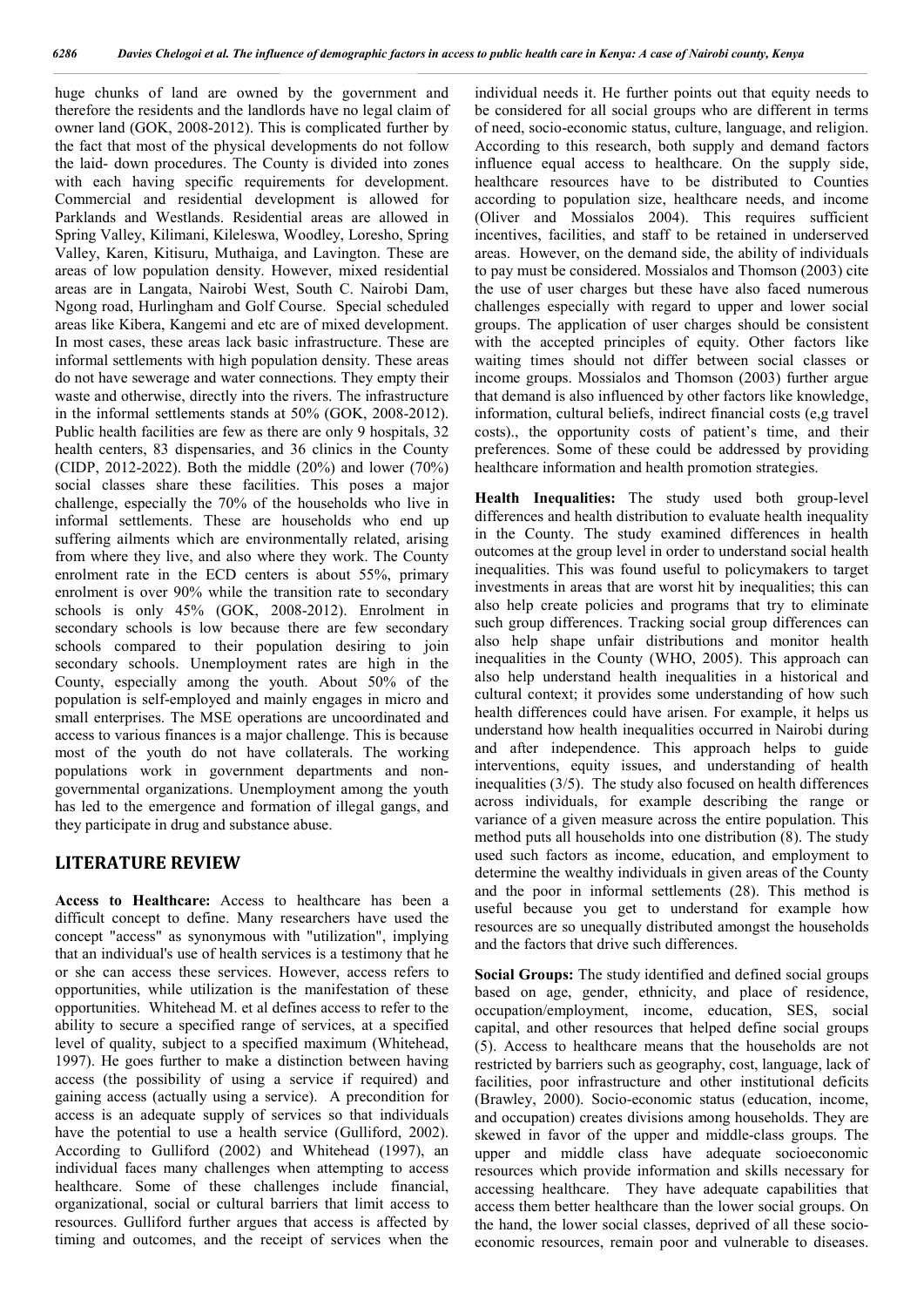huge chunks of land are owned by the government and therefore the residents and the landlords have no legal claim of owner land (GOK, 2008-2012). This is complicated further by the fact that most of the physical developments do not follow the laid- down procedures. The County is divided into zones with each having specific requirements for development. Commercial and residential development is allowed for Parklands and Westlands. Residential areas are allowed in Spring Valley, Kilimani, Kileleswa, Woodley, Loresho, Spring Valley, Karen, Kitisuru, Muthaiga, and Lavington. These are areas of low population density. However, mixed residential areas are in Langata, Nairobi West, South C. Nairobi Dam, Ngong road, Hurlingham and Golf Course. Special scheduled areas like Kibera, Kangemi and etc are of mixed development. In most cases, these areas lack basic infrastructure. These are informal settlements with high population density. These areas do not have sewerage and water connections. They empty their waste and otherwise, directly into the rivers. The infrastructure in the informal settlements stands at 50% (GOK, 2008-2012). Public health facilities are few as there are only 9 hospitals, 32 health centers, 83 dispensaries, and 36 clinics in the County (CIDP, 2012-2022). Both the middle (20%) and lower (70%) social classes share these facilities. This poses a major challenge, especially the 70% of the households who live in informal settlements. These are households who end up suffering ailments which are environmentally related, arising from where they live, and also where they work. The County enrolment rate in the ECD centers is about 55%, primary enrolment is over 90% while the transition rate to secondary schools is only 45% (GOK, 2008-2012). Enrolment in secondary schools is low because there are few secondary schools compared to their population desiring to join secondary schools. Unemployment rates are high in the County, especially among the youth. About 50% of the population is self-employed and mainly engages in micro and small enterprises. The MSE operations are uncoordinated and access to various finances is a major challenge. This is because most of the youth do not have collaterals. The working populations work in government departments and nongovernmental organizations. Unemployment among the youth has led to the emergence and formation of illegal gangs, and they participate in drug and substance abuse.

#### **LITERATURE REVIEW**

**Access to Healthcare:** Access to healthcare has been a difficult concept to define. Many researchers have used the concept "access" as synonymous with "utilization", implying that an individual's use of health services is a testimony that he or she can access these services. However, access refers to opportunities, while utilization is the manifestation of these opportunities. Whitehead M. et al defines access to refer to the ability to secure a specified range of services, at a specified level of quality, subject to a specified maximum (Whitehead, 1997). He goes further to make a distinction between having access (the possibility of using a service if required) and gaining access (actually using a service). A precondition for access is an adequate supply of services so that individuals have the potential to use a health service (Gulliford, 2002). According to Gulliford (2002) and Whitehead (1997), an individual faces many challenges when attempting to access healthcare. Some of these challenges include financial, organizational, social or cultural barriers that limit access to resources. Gulliford further argues that access is affected by timing and outcomes, and the receipt of services when the

individual needs it. He further points out that equity needs to be considered for all social groups who are different in terms of need, socio-economic status, culture, language, and religion. According to this research, both supply and demand factors influence equal access to healthcare. On the supply side, healthcare resources have to be distributed to Counties according to population size, healthcare needs, and income (Oliver and Mossialos 2004). This requires sufficient incentives, facilities, and staff to be retained in underserved areas. However, on the demand side, the ability of individuals to pay must be considered. Mossialos and Thomson (2003) cite the use of user charges but these have also faced numerous challenges especially with regard to upper and lower social groups. The application of user charges should be consistent with the accepted principles of equity. Other factors like waiting times should not differ between social classes or income groups. Mossialos and Thomson (2003) further argue that demand is also influenced by other factors like knowledge, information, cultural beliefs, indirect financial costs (e,g travel costs)., the opportunity costs of patient's time, and their preferences. Some of these could be addressed by providing healthcare information and health promotion strategies.

**Health Inequalities:** The study used both group-level differences and health distribution to evaluate health inequality in the County. The study examined differences in health outcomes at the group level in order to understand social health inequalities. This was found useful to policymakers to target investments in areas that are worst hit by inequalities; this can also help create policies and programs that try to eliminate such group differences. Tracking social group differences can also help shape unfair distributions and monitor health inequalities in the County (WHO, 2005). This approach can also help understand health inequalities in a historical and cultural context; it provides some understanding of how such health differences could have arisen. For example, it helps us understand how health inequalities occurred in Nairobi during and after independence. This approach helps to guide interventions, equity issues, and understanding of health inequalities (3/5). The study also focused on health differences across individuals, for example describing the range or variance of a given measure across the entire population. This method puts all households into one distribution (8). The study used such factors as income, education, and employment to determine the wealthy individuals in given areas of the County and the poor in informal settlements (28). This method is useful because you get to understand for example how resources are so unequally distributed amongst the households and the factors that drive such differences.

**Social Groups:** The study identified and defined social groups based on age, gender, ethnicity, and place of residence, occupation/employment, income, education, SES, social capital, and other resources that helped define social groups (5). Access to healthcare means that the households are not restricted by barriers such as geography, cost, language, lack of facilities, poor infrastructure and other institutional deficits (Brawley, 2000). Socio-economic status (education, income, and occupation) creates divisions among households. They are skewed in favor of the upper and middle-class groups. The upper and middle class have adequate socioeconomic resources which provide information and skills necessary for accessing healthcare. They have adequate capabilities that access them better healthcare than the lower social groups. On the hand, the lower social classes, deprived of all these socioeconomic resources, remain poor and vulnerable to diseases.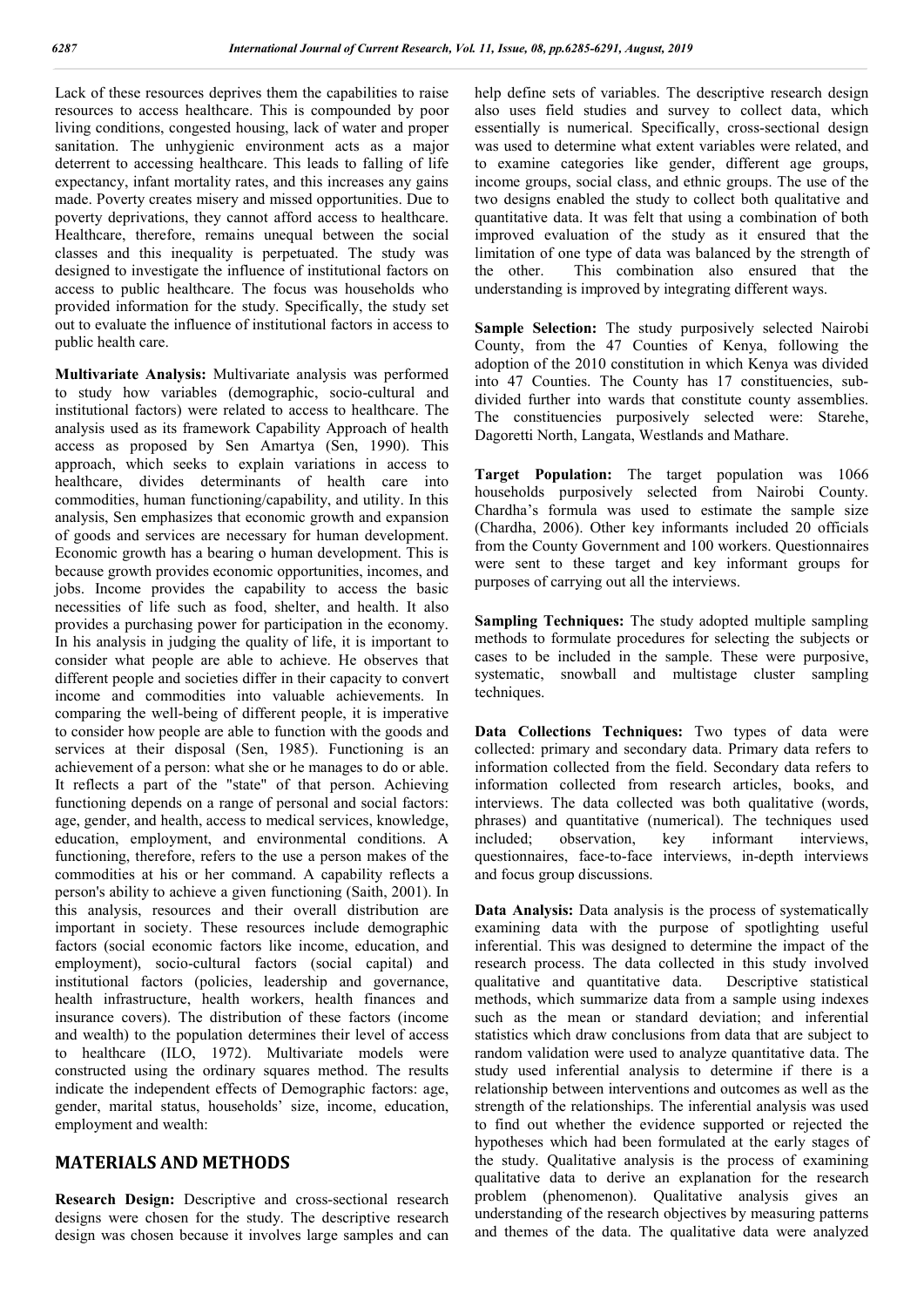Lack of these resources deprives them the capabilities to raise resources to access healthcare. This is compounded by poor living conditions, congested housing, lack of water and proper sanitation. The unhygienic environment acts as a major deterrent to accessing healthcare. This leads to falling of life expectancy, infant mortality rates, and this increases any gains made. Poverty creates misery and missed opportunities. Due to poverty deprivations, they cannot afford access to healthcare. Healthcare, therefore, remains unequal between the social classes and this inequality is perpetuated. The study was designed to investigate the influence of institutional factors on access to public healthcare. The focus was households who provided information for the study. Specifically, the study set out to evaluate the influence of institutional factors in access to public health care.

**Multivariate Analysis:** Multivariate analysis was performed to study how variables (demographic, socio-cultural and institutional factors) were related to access to healthcare. The analysis used as its framework Capability Approach of health access as proposed by Sen Amartya (Sen, 1990). This approach, which seeks to explain variations in access to healthcare, divides determinants of health care into commodities, human functioning/capability, and utility. In this analysis, Sen emphasizes that economic growth and expansion of goods and services are necessary for human development. Economic growth has a bearing o human development. This is because growth provides economic opportunities, incomes, and jobs. Income provides the capability to access the basic necessities of life such as food, shelter, and health. It also provides a purchasing power for participation in the economy. In his analysis in judging the quality of life, it is important to consider what people are able to achieve. He observes that different people and societies differ in their capacity to convert income and commodities into valuable achievements. In comparing the well-being of different people, it is imperative to consider how people are able to function with the goods and services at their disposal (Sen, 1985). Functioning is an achievement of a person: what she or he manages to do or able. It reflects a part of the "state" of that person. Achieving functioning depends on a range of personal and social factors: age, gender, and health, access to medical services, knowledge, education, employment, and environmental conditions. A functioning, therefore, refers to the use a person makes of the commodities at his or her command. A capability reflects a person's ability to achieve a given functioning (Saith, 2001). In this analysis, resources and their overall distribution are important in society. These resources include demographic factors (social economic factors like income, education, and employment), socio-cultural factors (social capital) and institutional factors (policies, leadership and governance, health infrastructure, health workers, health finances and insurance covers). The distribution of these factors (income and wealth) to the population determines their level of access to healthcare (ILO, 1972). Multivariate models were constructed using the ordinary squares method. The results indicate the independent effects of Demographic factors: age, gender, marital status, households' size, income, education, employment and wealth:

#### **MATERIALS AND METHODS**

**Research Design:** Descriptive and cross-sectional research designs were chosen for the study. The descriptive research design was chosen because it involves large samples and can

help define sets of variables. The descriptive research design also uses field studies and survey to collect data, which essentially is numerical. Specifically, cross-sectional design was used to determine what extent variables were related, and to examine categories like gender, different age groups, income groups, social class, and ethnic groups. The use of the two designs enabled the study to collect both qualitative and quantitative data. It was felt that using a combination of both improved evaluation of the study as it ensured that the limitation of one type of data was balanced by the strength of the other. This combination also ensured that the understanding is improved by integrating different ways.

**Sample Selection:** The study purposively selected Nairobi County, from the 47 Counties of Kenya, following the adoption of the 2010 constitution in which Kenya was divided into 47 Counties. The County has 17 constituencies, subdivided further into wards that constitute county assemblies. The constituencies purposively selected were: Starehe, Dagoretti North, Langata, Westlands and Mathare.

**Target Population:** The target population was 1066 households purposively selected from Nairobi County. Chardha's formula was used to estimate the sample size (Chardha, 2006). Other key informants included 20 officials from the County Government and 100 workers. Questionnaires were sent to these target and key informant groups for purposes of carrying out all the interviews.

**Sampling Techniques:** The study adopted multiple sampling methods to formulate procedures for selecting the subjects or cases to be included in the sample. These were purposive, systematic, snowball and multistage cluster sampling techniques.

**Data Collections Techniques:** Two types of data were collected: primary and secondary data. Primary data refers to information collected from the field. Secondary data refers to information collected from research articles, books, and interviews. The data collected was both qualitative (words, phrases) and quantitative (numerical). The techniques used included; observation, key informant interviews, questionnaires, face-to-face interviews, in-depth interviews and focus group discussions.

**Data Analysis:** Data analysis is the process of systematically examining data with the purpose of spotlighting useful inferential. This was designed to determine the impact of the research process. The data collected in this study involved qualitative and quantitative data. Descriptive statistical methods, which summarize data from a sample using indexes such as the mean or standard deviation; and inferential statistics which draw conclusions from data that are subject to random validation were used to analyze quantitative data. The study used inferential analysis to determine if there is a relationship between interventions and outcomes as well as the strength of the relationships. The inferential analysis was used to find out whether the evidence supported or rejected the hypotheses which had been formulated at the early stages of the study. Qualitative analysis is the process of examining qualitative data to derive an explanation for the research problem (phenomenon). Qualitative analysis gives an understanding of the research objectives by measuring patterns and themes of the data. The qualitative data were analyzed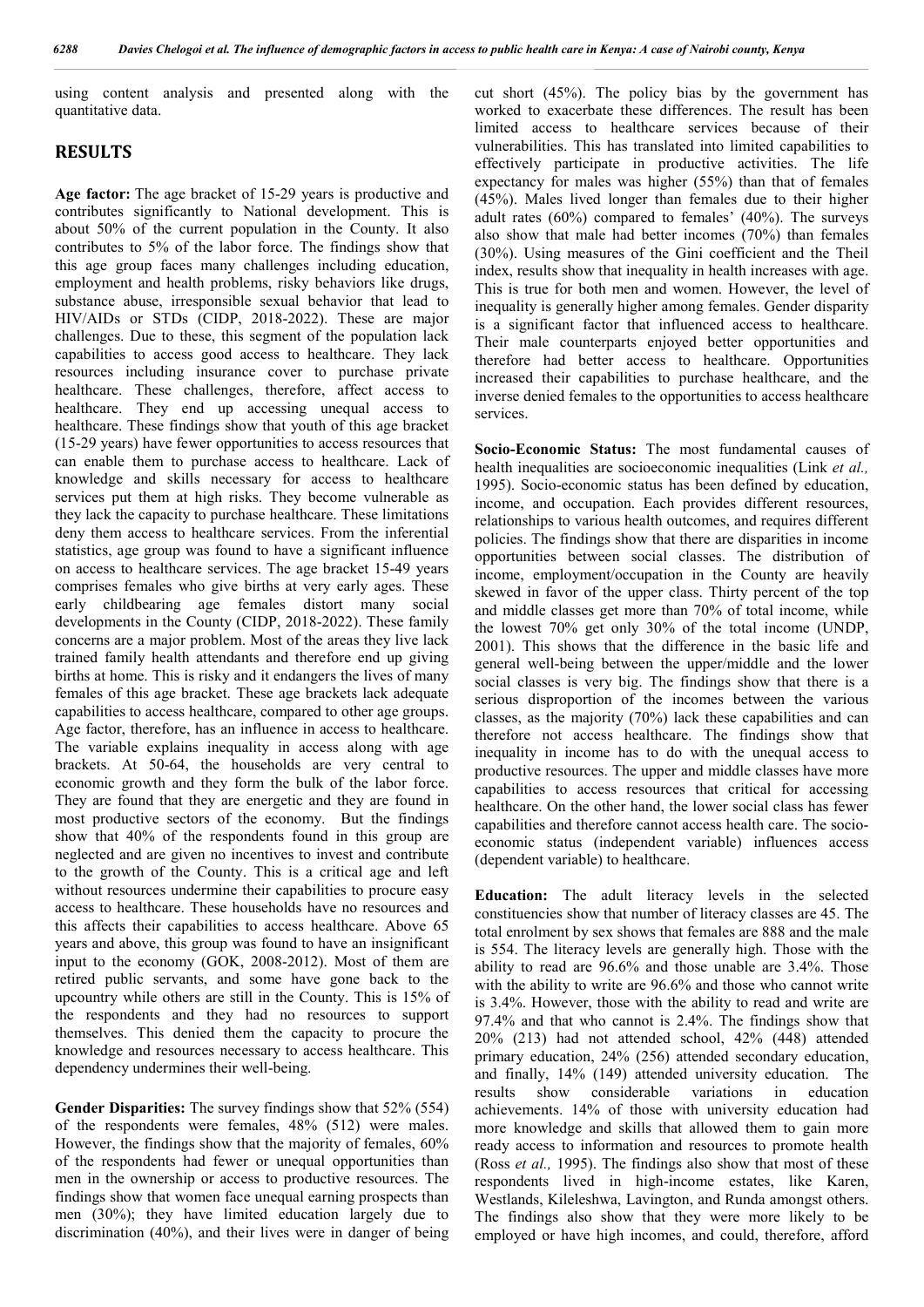using content analysis and presented along with the quantitative data.

#### **RESULTS**

**Age factor:** The age bracket of 15-29 years is productive and contributes significantly to National development. This is about 50% of the current population in the County. It also contributes to 5% of the labor force. The findings show that this age group faces many challenges including education, employment and health problems, risky behaviors like drugs, substance abuse, irresponsible sexual behavior that lead to HIV/AIDs or STDs (CIDP, 2018-2022). These are major challenges. Due to these, this segment of the population lack capabilities to access good access to healthcare. They lack resources including insurance cover to purchase private healthcare. These challenges, therefore, affect access to healthcare. They end up accessing unequal access to healthcare. These findings show that youth of this age bracket (15-29 years) have fewer opportunities to access resources that can enable them to purchase access to healthcare. Lack of knowledge and skills necessary for access to healthcare services put them at high risks. They become vulnerable as they lack the capacity to purchase healthcare. These limitations deny them access to healthcare services. From the inferential statistics, age group was found to have a significant influence on access to healthcare services. The age bracket 15-49 years comprises females who give births at very early ages. These early childbearing age females distort many social developments in the County (CIDP, 2018-2022). These family concerns are a major problem. Most of the areas they live lack trained family health attendants and therefore end up giving births at home. This is risky and it endangers the lives of many females of this age bracket. These age brackets lack adequate capabilities to access healthcare, compared to other age groups. Age factor, therefore, has an influence in access to healthcare. The variable explains inequality in access along with age brackets. At 50-64, the households are very central to economic growth and they form the bulk of the labor force. They are found that they are energetic and they are found in most productive sectors of the economy. But the findings show that 40% of the respondents found in this group are neglected and are given no incentives to invest and contribute to the growth of the County. This is a critical age and left without resources undermine their capabilities to procure easy access to healthcare. These households have no resources and this affects their capabilities to access healthcare. Above 65 years and above, this group was found to have an insignificant input to the economy (GOK, 2008-2012). Most of them are retired public servants, and some have gone back to the upcountry while others are still in the County. This is 15% of the respondents and they had no resources to support themselves. This denied them the capacity to procure the knowledge and resources necessary to access healthcare. This dependency undermines their well-being.

**Gender Disparities:** The survey findings show that 52% (554) of the respondents were females, 48% (512) were males. However, the findings show that the majority of females, 60% of the respondents had fewer or unequal opportunities than men in the ownership or access to productive resources. The findings show that women face unequal earning prospects than men (30%); they have limited education largely due to discrimination (40%), and their lives were in danger of being

cut short (45%). The policy bias by the government has worked to exacerbate these differences. The result has been limited access to healthcare services because of their vulnerabilities. This has translated into limited capabilities to effectively participate in productive activities. The life expectancy for males was higher (55%) than that of females (45%). Males lived longer than females due to their higher adult rates (60%) compared to females' (40%). The surveys also show that male had better incomes (70%) than females (30%). Using measures of the Gini coefficient and the Theil index, results show that inequality in health increases with age. This is true for both men and women. However, the level of inequality is generally higher among females. Gender disparity is a significant factor that influenced access to healthcare. Their male counterparts enjoyed better opportunities and therefore had better access to healthcare. Opportunities increased their capabilities to purchase healthcare, and the inverse denied females to the opportunities to access healthcare services.

**Socio-Economic Status:** The most fundamental causes of health inequalities are socioeconomic inequalities (Link *et al.,*  1995). Socio-economic status has been defined by education, income, and occupation. Each provides different resources, relationships to various health outcomes, and requires different policies. The findings show that there are disparities in income opportunities between social classes. The distribution of income, employment/occupation in the County are heavily skewed in favor of the upper class. Thirty percent of the top and middle classes get more than 70% of total income, while the lowest 70% get only 30% of the total income (UNDP, 2001). This shows that the difference in the basic life and general well-being between the upper/middle and the lower social classes is very big. The findings show that there is a serious disproportion of the incomes between the various classes, as the majority (70%) lack these capabilities and can therefore not access healthcare. The findings show that inequality in income has to do with the unequal access to productive resources. The upper and middle classes have more capabilities to access resources that critical for accessing healthcare. On the other hand, the lower social class has fewer capabilities and therefore cannot access health care. The socioeconomic status (independent variable) influences access (dependent variable) to healthcare.

**Education:** The adult literacy levels in the selected constituencies show that number of literacy classes are 45. The total enrolment by sex shows that females are 888 and the male is 554. The literacy levels are generally high. Those with the ability to read are 96.6% and those unable are 3.4%. Those with the ability to write are 96.6% and those who cannot write is 3.4%. However, those with the ability to read and write are 97.4% and that who cannot is 2.4%. The findings show that 20% (213) had not attended school, 42% (448) attended primary education, 24% (256) attended secondary education, and finally, 14% (149) attended university education. The results show considerable variations in education achievements. 14% of those with university education had more knowledge and skills that allowed them to gain more ready access to information and resources to promote health (Ross *et al.,* 1995). The findings also show that most of these respondents lived in high-income estates, like Karen, Westlands, Kileleshwa, Lavington, and Runda amongst others. The findings also show that they were more likely to be employed or have high incomes, and could, therefore, afford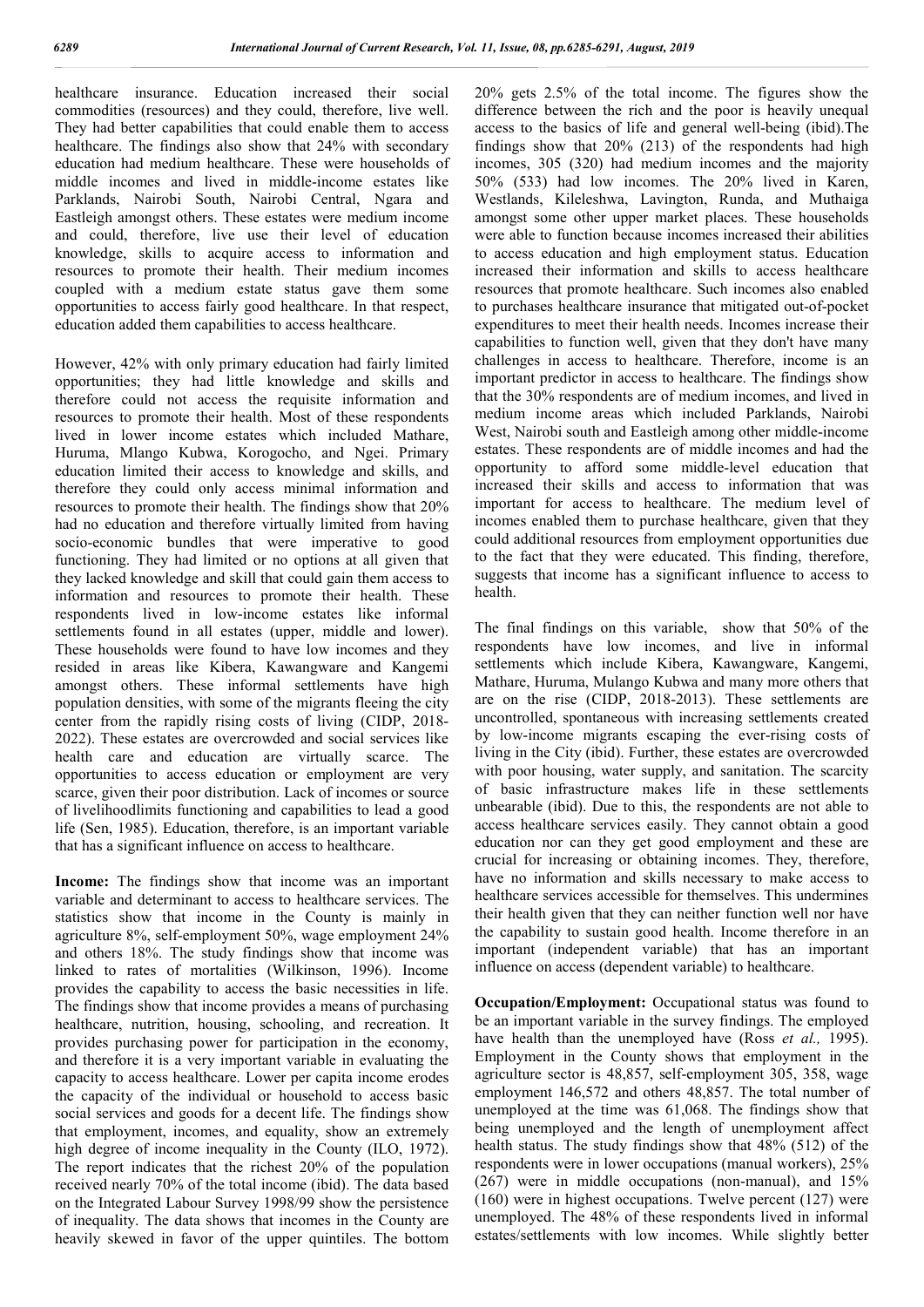healthcare insurance. Education increased their social commodities (resources) and they could, therefore, live well. They had better capabilities that could enable them to access healthcare. The findings also show that 24% with secondary education had medium healthcare. These were households of middle incomes and lived in middle-income estates like Parklands, Nairobi South, Nairobi Central, Ngara and Eastleigh amongst others. These estates were medium income and could, therefore, live use their level of education knowledge, skills to acquire access to information and resources to promote their health. Their medium incomes coupled with a medium estate status gave them some opportunities to access fairly good healthcare. In that respect, education added them capabilities to access healthcare.

However, 42% with only primary education had fairly limited opportunities; they had little knowledge and skills and therefore could not access the requisite information and resources to promote their health. Most of these respondents lived in lower income estates which included Mathare, Huruma, Mlango Kubwa, Korogocho, and Ngei. Primary education limited their access to knowledge and skills, and therefore they could only access minimal information and resources to promote their health. The findings show that 20% had no education and therefore virtually limited from having socio-economic bundles that were imperative to good functioning. They had limited or no options at all given that they lacked knowledge and skill that could gain them access to information and resources to promote their health. These respondents lived in low-income estates like informal settlements found in all estates (upper, middle and lower). These households were found to have low incomes and they resided in areas like Kibera, Kawangware and Kangemi amongst others. These informal settlements have high population densities, with some of the migrants fleeing the city center from the rapidly rising costs of living (CIDP, 2018- 2022). These estates are overcrowded and social services like health care and education are virtually scarce. The opportunities to access education or employment are very scarce, given their poor distribution. Lack of incomes or source of livelihoodlimits functioning and capabilities to lead a good life (Sen, 1985). Education, therefore, is an important variable that has a significant influence on access to healthcare.

**Income:** The findings show that income was an important variable and determinant to access to healthcare services. The statistics show that income in the County is mainly in agriculture 8%, self-employment 50%, wage employment 24% and others 18%. The study findings show that income was linked to rates of mortalities (Wilkinson, 1996). Income provides the capability to access the basic necessities in life. The findings show that income provides a means of purchasing healthcare, nutrition, housing, schooling, and recreation. It provides purchasing power for participation in the economy, and therefore it is a very important variable in evaluating the capacity to access healthcare. Lower per capita income erodes the capacity of the individual or household to access basic social services and goods for a decent life. The findings show that employment, incomes, and equality, show an extremely high degree of income inequality in the County (ILO, 1972). The report indicates that the richest 20% of the population received nearly 70% of the total income (ibid). The data based on the Integrated Labour Survey 1998/99 show the persistence of inequality. The data shows that incomes in the County are heavily skewed in favor of the upper quintiles. The bottom

20% gets 2.5% of the total income. The figures show the difference between the rich and the poor is heavily unequal access to the basics of life and general well-being (ibid).The findings show that 20% (213) of the respondents had high incomes, 305 (320) had medium incomes and the majority 50% (533) had low incomes. The 20% lived in Karen, Westlands, Kileleshwa, Lavington, Runda, and Muthaiga amongst some other upper market places. These households were able to function because incomes increased their abilities to access education and high employment status. Education increased their information and skills to access healthcare resources that promote healthcare. Such incomes also enabled to purchases healthcare insurance that mitigated out-of-pocket expenditures to meet their health needs. Incomes increase their capabilities to function well, given that they don't have many challenges in access to healthcare. Therefore, income is an important predictor in access to healthcare. The findings show that the 30% respondents are of medium incomes, and lived in medium income areas which included Parklands, Nairobi West, Nairobi south and Eastleigh among other middle-income estates. These respondents are of middle incomes and had the opportunity to afford some middle-level education that increased their skills and access to information that was important for access to healthcare. The medium level of incomes enabled them to purchase healthcare, given that they could additional resources from employment opportunities due to the fact that they were educated. This finding, therefore, suggests that income has a significant influence to access to health.

The final findings on this variable, show that 50% of the respondents have low incomes, and live in informal settlements which include Kibera, Kawangware, Kangemi, Mathare, Huruma, Mulango Kubwa and many more others that are on the rise (CIDP, 2018-2013). These settlements are uncontrolled, spontaneous with increasing settlements created by low-income migrants escaping the ever-rising costs of living in the City (ibid). Further, these estates are overcrowded with poor housing, water supply, and sanitation. The scarcity of basic infrastructure makes life in these settlements unbearable (ibid). Due to this, the respondents are not able to access healthcare services easily. They cannot obtain a good education nor can they get good employment and these are crucial for increasing or obtaining incomes. They, therefore, have no information and skills necessary to make access to healthcare services accessible for themselves. This undermines their health given that they can neither function well nor have the capability to sustain good health. Income therefore in an important (independent variable) that has an important influence on access (dependent variable) to healthcare.

**Occupation/Employment:** Occupational status was found to be an important variable in the survey findings. The employed have health than the unemployed have (Ross *et al.,* 1995). Employment in the County shows that employment in the agriculture sector is 48,857, self-employment 305, 358, wage employment 146,572 and others 48,857. The total number of unemployed at the time was 61,068. The findings show that being unemployed and the length of unemployment affect health status. The study findings show that 48% (512) of the respondents were in lower occupations (manual workers), 25% (267) were in middle occupations (non-manual), and 15% (160) were in highest occupations. Twelve percent (127) were unemployed. The 48% of these respondents lived in informal estates/settlements with low incomes. While slightly better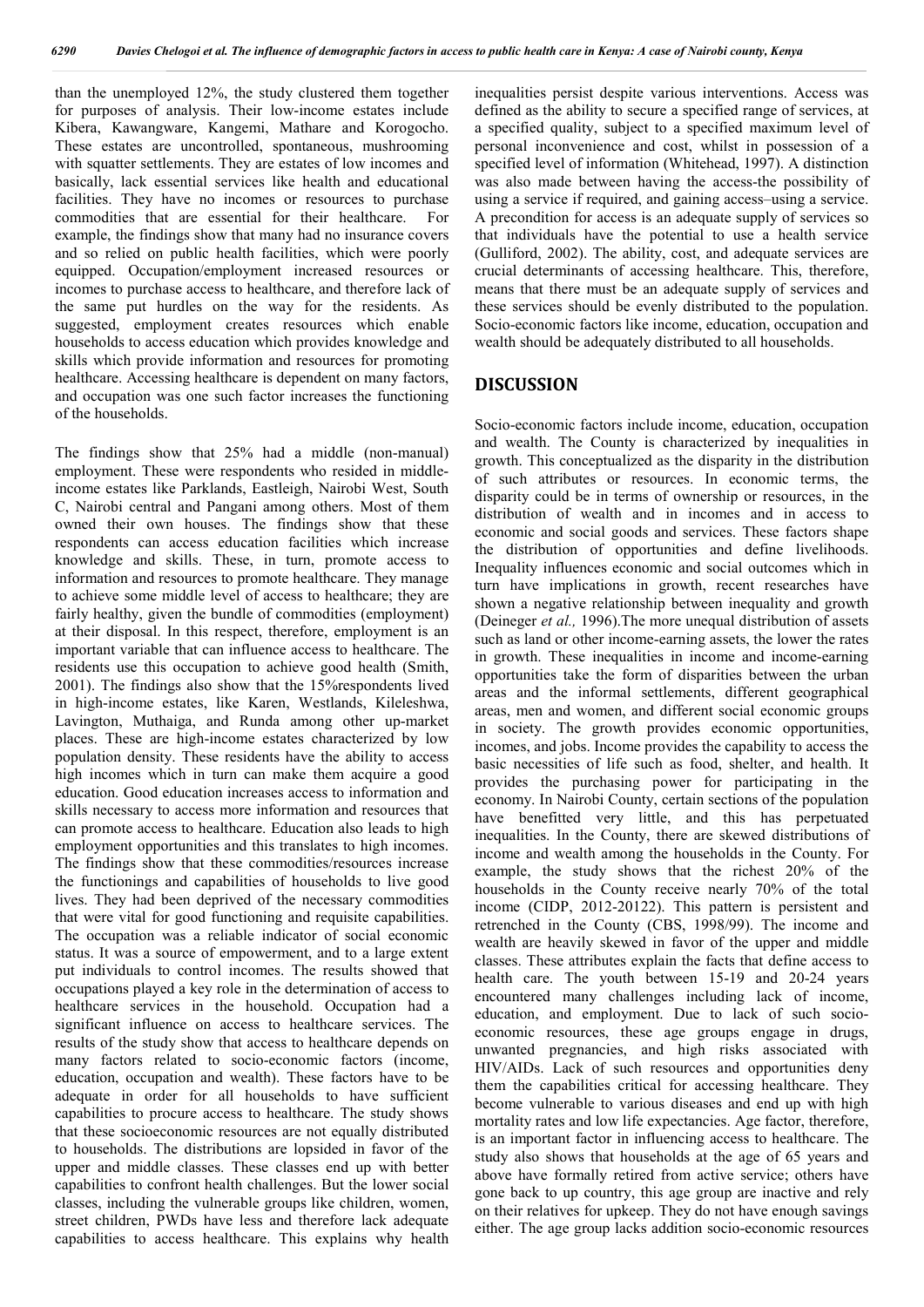than the unemployed 12%, the study clustered them together for purposes of analysis. Their low-income estates include Kibera, Kawangware, Kangemi, Mathare and Korogocho. These estates are uncontrolled, spontaneous, mushrooming with squatter settlements. They are estates of low incomes and basically, lack essential services like health and educational facilities. They have no incomes or resources to purchase commodities that are essential for their healthcare. For example, the findings show that many had no insurance covers and so relied on public health facilities, which were poorly equipped. Occupation/employment increased resources or incomes to purchase access to healthcare, and therefore lack of the same put hurdles on the way for the residents. As suggested, employment creates resources which enable households to access education which provides knowledge and skills which provide information and resources for promoting healthcare. Accessing healthcare is dependent on many factors, and occupation was one such factor increases the functioning of the households.

The findings show that 25% had a middle (non-manual) employment. These were respondents who resided in middleincome estates like Parklands, Eastleigh, Nairobi West, South C, Nairobi central and Pangani among others. Most of them owned their own houses. The findings show that these respondents can access education facilities which increase knowledge and skills. These, in turn, promote access to information and resources to promote healthcare. They manage to achieve some middle level of access to healthcare; they are fairly healthy, given the bundle of commodities (employment) at their disposal. In this respect, therefore, employment is an important variable that can influence access to healthcare. The residents use this occupation to achieve good health (Smith, 2001). The findings also show that the 15%respondents lived in high-income estates, like Karen, Westlands, Kileleshwa, Lavington, Muthaiga, and Runda among other up-market places. These are high-income estates characterized by low population density. These residents have the ability to access high incomes which in turn can make them acquire a good education. Good education increases access to information and skills necessary to access more information and resources that can promote access to healthcare. Education also leads to high employment opportunities and this translates to high incomes. The findings show that these commodities/resources increase the functionings and capabilities of households to live good lives. They had been deprived of the necessary commodities that were vital for good functioning and requisite capabilities. The occupation was a reliable indicator of social economic status. It was a source of empowerment, and to a large extent put individuals to control incomes. The results showed that occupations played a key role in the determination of access to healthcare services in the household. Occupation had a significant influence on access to healthcare services. The results of the study show that access to healthcare depends on many factors related to socio-economic factors (income, education, occupation and wealth). These factors have to be adequate in order for all households to have sufficient capabilities to procure access to healthcare. The study shows that these socioeconomic resources are not equally distributed to households. The distributions are lopsided in favor of the upper and middle classes. These classes end up with better capabilities to confront health challenges. But the lower social classes, including the vulnerable groups like children, women, street children, PWDs have less and therefore lack adequate capabilities to access healthcare. This explains why health

inequalities persist despite various interventions. Access was defined as the ability to secure a specified range of services, at a specified quality, subject to a specified maximum level of personal inconvenience and cost, whilst in possession of a specified level of information (Whitehead, 1997). A distinction was also made between having the access-the possibility of using a service if required, and gaining access–using a service. A precondition for access is an adequate supply of services so that individuals have the potential to use a health service (Gulliford, 2002). The ability, cost, and adequate services are crucial determinants of accessing healthcare. This, therefore, means that there must be an adequate supply of services and these services should be evenly distributed to the population. Socio-economic factors like income, education, occupation and wealth should be adequately distributed to all households.

#### **DISCUSSION**

Socio-economic factors include income, education, occupation and wealth. The County is characterized by inequalities in growth. This conceptualized as the disparity in the distribution of such attributes or resources. In economic terms, the disparity could be in terms of ownership or resources, in the distribution of wealth and in incomes and in access to economic and social goods and services. These factors shape the distribution of opportunities and define livelihoods. Inequality influences economic and social outcomes which in turn have implications in growth, recent researches have shown a negative relationship between inequality and growth (Deineger *et al.,* 1996).The more unequal distribution of assets such as land or other income-earning assets, the lower the rates in growth. These inequalities in income and income-earning opportunities take the form of disparities between the urban areas and the informal settlements, different geographical areas, men and women, and different social economic groups in society. The growth provides economic opportunities, incomes, and jobs. Income provides the capability to access the basic necessities of life such as food, shelter, and health. It provides the purchasing power for participating in the economy. In Nairobi County, certain sections of the population have benefitted very little, and this has perpetuated inequalities. In the County, there are skewed distributions of income and wealth among the households in the County. For example, the study shows that the richest 20% of the households in the County receive nearly 70% of the total income (CIDP, 2012-20122). This pattern is persistent and retrenched in the County (CBS, 1998/99). The income and wealth are heavily skewed in favor of the upper and middle classes. These attributes explain the facts that define access to health care. The youth between 15-19 and 20-24 years encountered many challenges including lack of income, education, and employment. Due to lack of such socioeconomic resources, these age groups engage in drugs, unwanted pregnancies, and high risks associated with HIV/AIDs. Lack of such resources and opportunities deny them the capabilities critical for accessing healthcare. They become vulnerable to various diseases and end up with high mortality rates and low life expectancies. Age factor, therefore, is an important factor in influencing access to healthcare. The study also shows that households at the age of 65 years and above have formally retired from active service; others have gone back to up country, this age group are inactive and rely on their relatives for upkeep. They do not have enough savings either. The age group lacks addition socio-economic resources